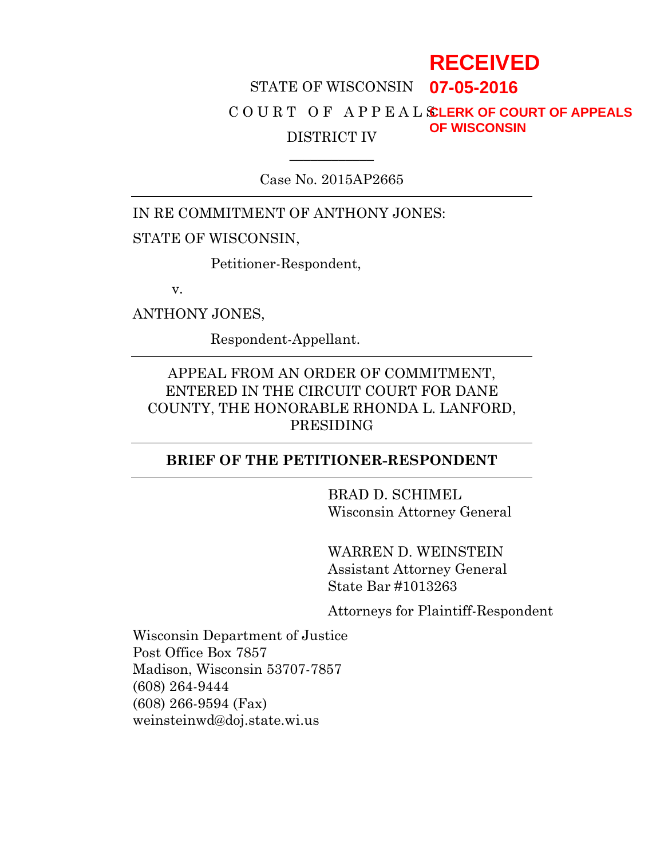## STATE OF WISCONSIN **07-05-2016** C O U R T O F A P P E A L S **CLERK OF COURT OF APPEALS** DISTRICT IV **RECEIVED OF WISCONSIN**

Case No. 2015AP2665

 $\overline{\phantom{a}}$ 

IN RE COMMITMENT OF ANTHONY JONES:

#### STATE OF WISCONSIN,

Petitioner-Respondent,

v.

ANTHONY JONES,

Respondent-Appellant.

### APPEAL FROM AN ORDER OF COMMITMENT, ENTERED IN THE CIRCUIT COURT FOR DANE COUNTY, THE HONORABLE RHONDA L. LANFORD, PRESIDING

### **BRIEF OF THE PETITIONER-RESPONDENT**

BRAD D. SCHIMEL Wisconsin Attorney General

WARREN D. WEINSTEIN Assistant Attorney General State Bar #1013263

Attorneys for Plaintiff-Respondent

Wisconsin Department of Justice Post Office Box 7857 Madison, Wisconsin 53707-7857 (608) 264-9444 (608) 266-9594 (Fax) weinsteinwd@doj.state.wi.us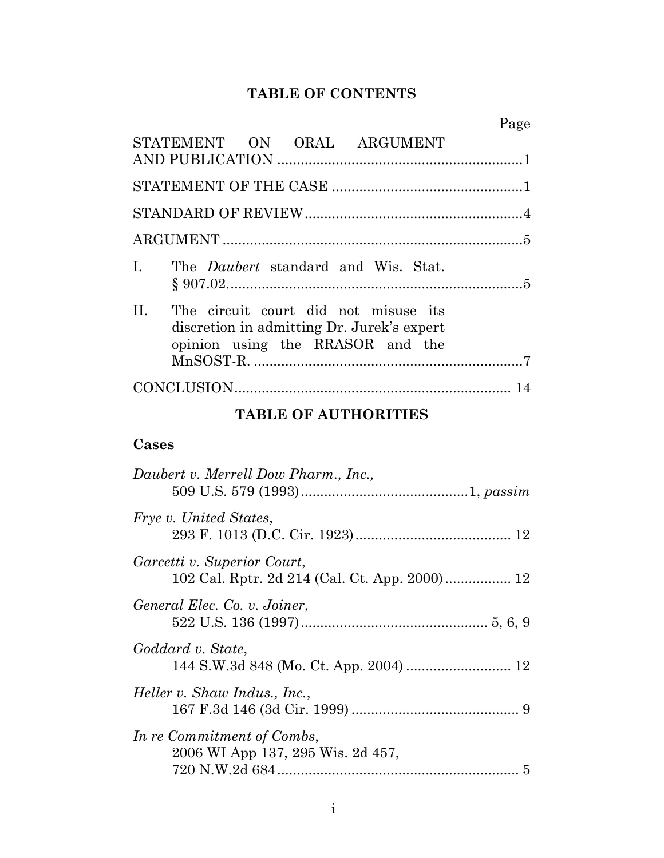# **TABLE OF CONTENTS**

| STATEMENT ON ORAL ARGUMENT                                                                                                        |  |
|-----------------------------------------------------------------------------------------------------------------------------------|--|
|                                                                                                                                   |  |
|                                                                                                                                   |  |
|                                                                                                                                   |  |
| The <i>Daubert</i> standard and Wis. Stat.<br>L.                                                                                  |  |
| $\Pi$ .<br>The circuit court did not misuse its<br>discretion in admitting Dr. Jurek's expert<br>opinion using the RRASOR and the |  |
|                                                                                                                                   |  |

# **TABLE OF AUTHORITIES**

## **Cases**

| Daubert v. Merrell Dow Pharm., Inc.,                                         |
|------------------------------------------------------------------------------|
| <i>Frye v. United States,</i>                                                |
| Garcetti v. Superior Court,<br>102 Cal. Rptr. 2d 214 (Cal. Ct. App. 2000) 12 |
| General Elec. Co. v. Joiner,                                                 |
| Goddard v. State,                                                            |
| Heller v. Shaw Indus., Inc.,                                                 |
| In re Commitment of Combs,<br>2006 WI App 137, 295 Wis. 2d 457,              |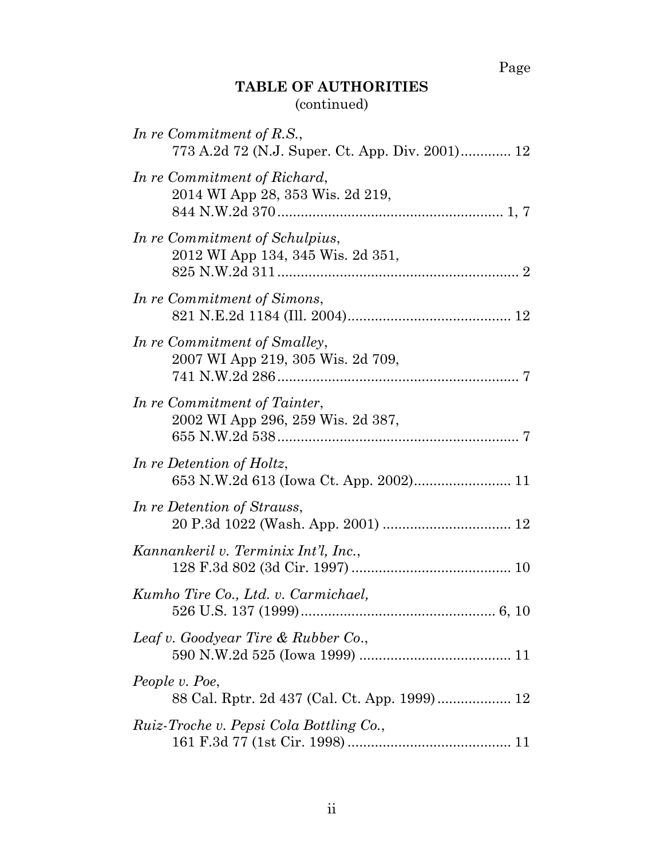Page

# **TABLE OF AUTHORITIES** (continued)

| In re Commitment of R.S.,<br>773 A.2d 72 (N.J. Super. Ct. App. Div. 2001) 12 |
|------------------------------------------------------------------------------|
| In re Commitment of Richard,<br>2014 WI App 28, 353 Wis. 2d 219,             |
| In re Commitment of Schulpius,<br>2012 WI App 134, 345 Wis. 2d 351,          |
| In re Commitment of Simons,                                                  |
| In re Commitment of Smalley,<br>2007 WI App 219, 305 Wis. 2d 709,            |
| In re Commitment of Tainter,<br>2002 WI App 296, 259 Wis. 2d 387,            |
| In re Detention of Holtz,                                                    |
| In re Detention of Strauss,                                                  |
| Kannankeril v. Terminix Int'l, Inc.,                                         |
| Kumho Tire Co., Ltd. v. Carmichael,<br>$6, 10$                               |
| Leaf v. Goodyear Tire & Rubber Co.,                                          |
| People v. Poe,                                                               |
| Ruiz-Troche v. Pepsi Cola Bottling Co.,                                      |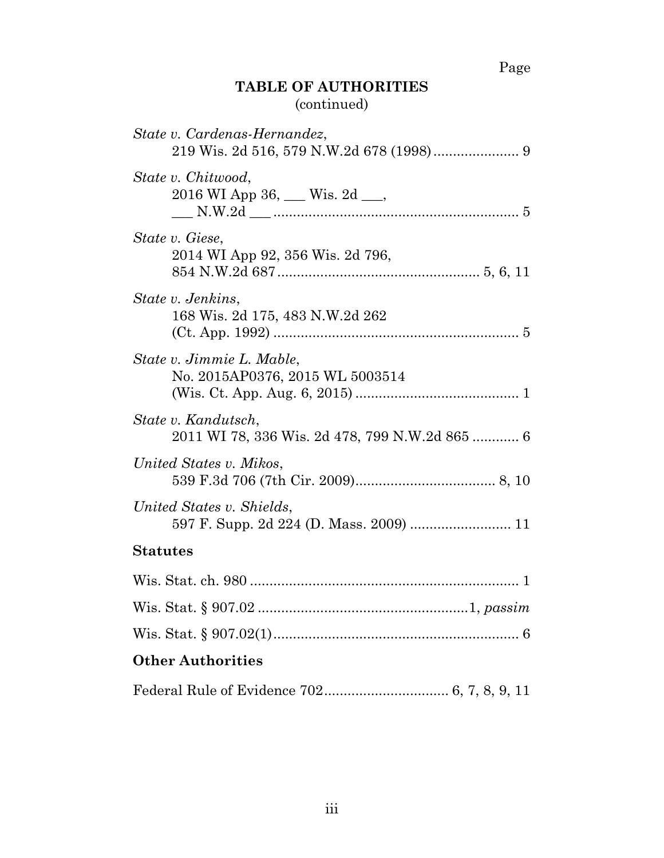# Page

## **TABLE OF AUTHORITIES** (continued)

| State v. Cardenas-Hernandez,                                          |
|-----------------------------------------------------------------------|
| State v. Chitwood,<br>2016 WI App 36, __ Wis. 2d __,                  |
| State v. Giese,<br>2014 WI App 92, 356 Wis. 2d 796,                   |
| State v. Jenkins,<br>168 Wis. 2d 175, 483 N.W.2d 262                  |
| State v. Jimmie L. Mable,<br>No. 2015AP0376, 2015 WL 5003514          |
| State v. Kandutsch,<br>2011 WI 78, 336 Wis. 2d 478, 799 N.W.2d 865  6 |
| United States v. Mikos,                                               |
| United States v. Shields,<br>597 F. Supp. 2d 224 (D. Mass. 2009)  11  |
| <b>Statutes</b>                                                       |
|                                                                       |
|                                                                       |
|                                                                       |
| <b>Other Authorities</b>                                              |
|                                                                       |

Federal Rule of Evidence 702................................ 6, 7, 8, 9, 11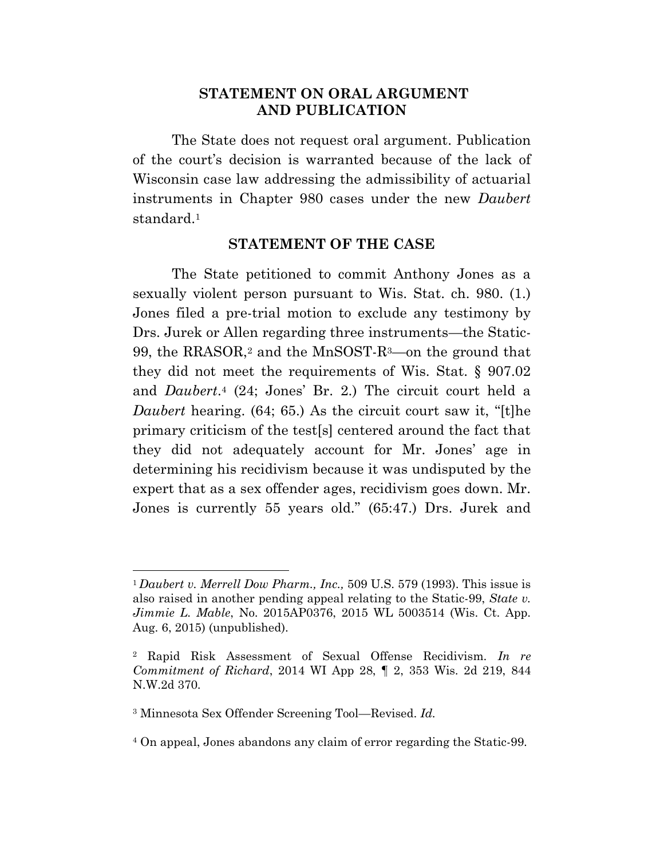#### **STATEMENT ON ORAL ARGUMENT AND PUBLICATION**

The State does not request oral argument. Publication of the court's decision is warranted because of the lack of Wisconsin case law addressing the admissibility of actuarial instruments in Chapter 980 cases under the new *Daubert*  standard.<sup>1</sup>

#### **STATEMENT OF THE CASE**

The State petitioned to commit Anthony Jones as a sexually violent person pursuant to Wis. Stat. ch. 980. (1.) Jones filed a pre-trial motion to exclude any testimony by Drs. Jurek or Allen regarding three instruments—the Static-99, the RRASOR,<sup>2</sup> and the MnSOST-R3—on the ground that they did not meet the requirements of Wis. Stat. § 907.02 and *Daubert*. <sup>4</sup> (24; Jones' Br. 2.) The circuit court held a *Daubert* hearing. (64; 65.) As the circuit court saw it, "[t]he primary criticism of the test[s] centered around the fact that they did not adequately account for Mr. Jones' age in determining his recidivism because it was undisputed by the expert that as a sex offender ages, recidivism goes down. Mr. Jones is currently 55 years old." (65:47.) Drs. Jurek and

<sup>1</sup> *Daubert v. Merrell Dow Pharm., Inc.,* 509 U.S. 579 (1993). This issue is also raised in another pending appeal relating to the Static-99, *State v. Jimmie L. Mable*, No. 2015AP0376, 2015 WL 5003514 (Wis. Ct. App. Aug. 6, 2015) (unpublished).

<sup>2</sup> Rapid Risk Assessment of Sexual Offense Recidivism. *In re Commitment of Richard*, 2014 WI App 28, ¶ 2, 353 Wis. 2d 219, 844 N.W.2d 370.

<sup>3</sup> Minnesota Sex Offender Screening Tool—Revised. *Id.*

<sup>4</sup> On appeal, Jones abandons any claim of error regarding the Static-99.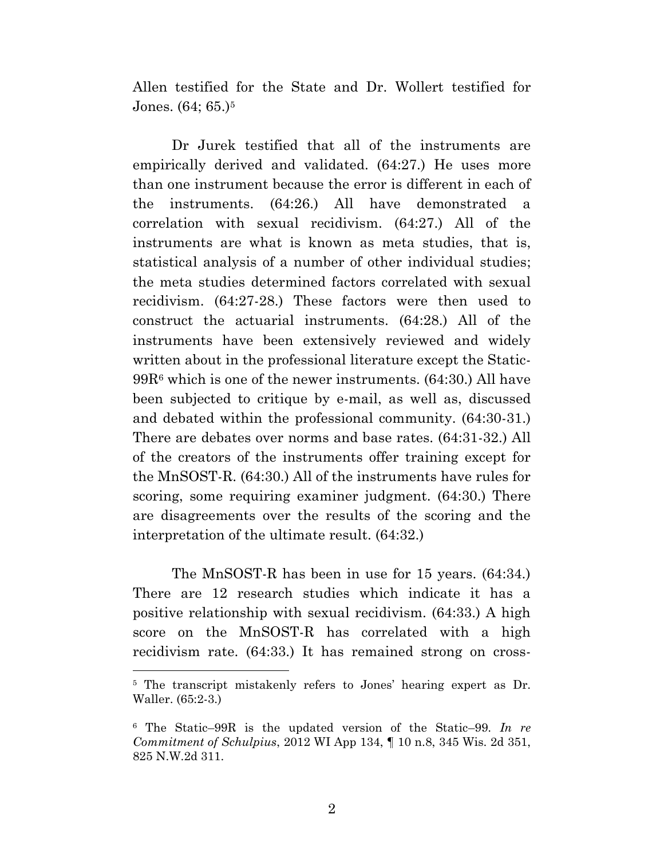Allen testified for the State and Dr. Wollert testified for Jones. (64; 65.)<sup>5</sup>

Dr Jurek testified that all of the instruments are empirically derived and validated. (64:27.) He uses more than one instrument because the error is different in each of the instruments. (64:26.) All have demonstrated a correlation with sexual recidivism. (64:27.) All of the instruments are what is known as meta studies, that is, statistical analysis of a number of other individual studies; the meta studies determined factors correlated with sexual recidivism. (64:27-28.) These factors were then used to construct the actuarial instruments. (64:28.) All of the instruments have been extensively reviewed and widely written about in the professional literature except the Static-99R<sup>6</sup> which is one of the newer instruments. (64:30.) All have been subjected to critique by e-mail, as well as, discussed and debated within the professional community. (64:30-31.) There are debates over norms and base rates. (64:31-32.) All of the creators of the instruments offer training except for the MnSOST-R. (64:30.) All of the instruments have rules for scoring, some requiring examiner judgment. (64:30.) There are disagreements over the results of the scoring and the interpretation of the ultimate result. (64:32.)

The MnSOST-R has been in use for 15 years. (64:34.) There are 12 research studies which indicate it has a positive relationship with sexual recidivism. (64:33.) A high score on the MnSOST-R has correlated with a high recidivism rate. (64:33.) It has remained strong on cross-

<sup>5</sup> The transcript mistakenly refers to Jones' hearing expert as Dr. Waller. (65:2-3.)

<sup>6</sup> The Static–99R is the updated version of the Static–99. *In re Commitment of Schulpius*, 2012 WI App 134, ¶ 10 n.8, 345 Wis. 2d 351, 825 N.W.2d 311.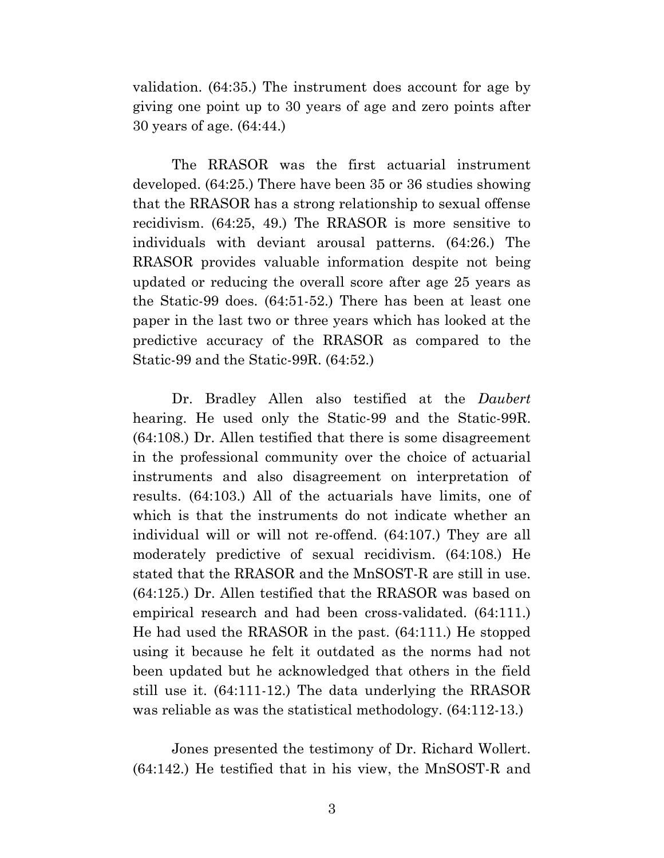validation. (64:35.) The instrument does account for age by giving one point up to 30 years of age and zero points after 30 years of age. (64:44.)

The RRASOR was the first actuarial instrument developed. (64:25.) There have been 35 or 36 studies showing that the RRASOR has a strong relationship to sexual offense recidivism. (64:25, 49.) The RRASOR is more sensitive to individuals with deviant arousal patterns. (64:26.) The RRASOR provides valuable information despite not being updated or reducing the overall score after age 25 years as the Static-99 does. (64:51-52.) There has been at least one paper in the last two or three years which has looked at the predictive accuracy of the RRASOR as compared to the Static-99 and the Static-99R. (64:52.)

Dr. Bradley Allen also testified at the *Daubert* hearing. He used only the Static-99 and the Static-99R. (64:108.) Dr. Allen testified that there is some disagreement in the professional community over the choice of actuarial instruments and also disagreement on interpretation of results. (64:103.) All of the actuarials have limits, one of which is that the instruments do not indicate whether an individual will or will not re-offend. (64:107.) They are all moderately predictive of sexual recidivism. (64:108.) He stated that the RRASOR and the MnSOST-R are still in use. (64:125.) Dr. Allen testified that the RRASOR was based on empirical research and had been cross-validated. (64:111.) He had used the RRASOR in the past. (64:111.) He stopped using it because he felt it outdated as the norms had not been updated but he acknowledged that others in the field still use it. (64:111-12.) The data underlying the RRASOR was reliable as was the statistical methodology. (64:112-13.)

Jones presented the testimony of Dr. Richard Wollert. (64:142.) He testified that in his view, the MnSOST-R and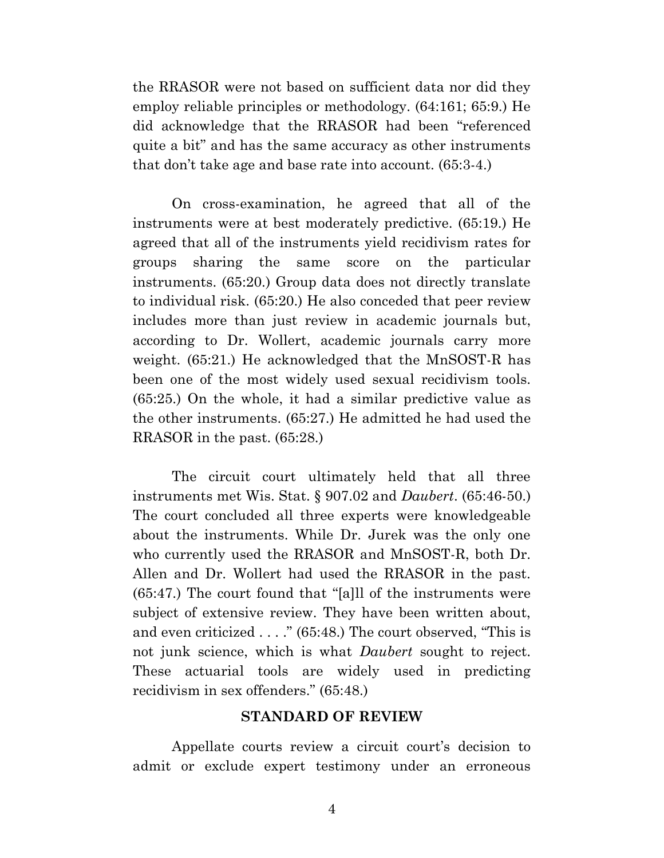the RRASOR were not based on sufficient data nor did they employ reliable principles or methodology. (64:161; 65:9.) He did acknowledge that the RRASOR had been "referenced quite a bit" and has the same accuracy as other instruments that don't take age and base rate into account. (65:3-4.)

On cross-examination, he agreed that all of the instruments were at best moderately predictive. (65:19.) He agreed that all of the instruments yield recidivism rates for groups sharing the same score on the particular instruments. (65:20.) Group data does not directly translate to individual risk. (65:20.) He also conceded that peer review includes more than just review in academic journals but, according to Dr. Wollert, academic journals carry more weight. (65:21.) He acknowledged that the MnSOST-R has been one of the most widely used sexual recidivism tools. (65:25.) On the whole, it had a similar predictive value as the other instruments. (65:27.) He admitted he had used the RRASOR in the past. (65:28.)

The circuit court ultimately held that all three instruments met Wis. Stat. § 907.02 and *Daubert*. (65:46-50.) The court concluded all three experts were knowledgeable about the instruments. While Dr. Jurek was the only one who currently used the RRASOR and MnSOST-R, both Dr. Allen and Dr. Wollert had used the RRASOR in the past. (65:47.) The court found that "[a]ll of the instruments were subject of extensive review. They have been written about, and even criticized . . . ." (65:48.) The court observed, "This is not junk science, which is what *Daubert* sought to reject. These actuarial tools are widely used in predicting recidivism in sex offenders." (65:48.)

#### **STANDARD OF REVIEW**

Appellate courts review a circuit court's decision to admit or exclude expert testimony under an erroneous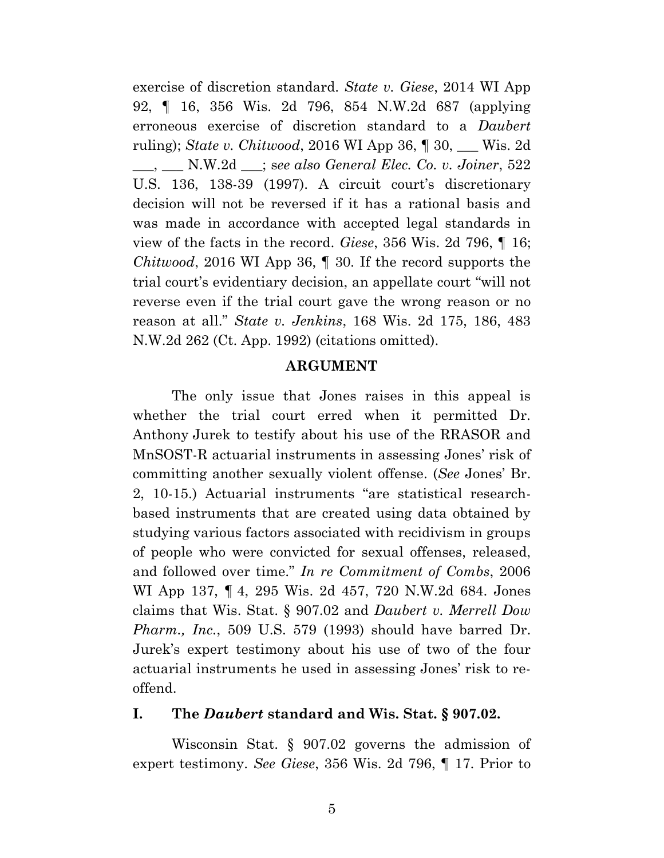exercise of discretion standard. *State v. Giese*, 2014 WI App 92, ¶ 16, 356 Wis. 2d 796, 854 N.W.2d 687 (applying erroneous exercise of discretion standard to a *Daubert* ruling); *State v. Chitwood*, 2016 WI App 36, ¶ 30, \_\_\_ Wis. 2d \_\_\_, \_\_\_ N.W.2d \_\_\_; s*ee also General Elec. Co. v. Joiner*, 522 U.S. 136, 138-39 (1997). A circuit court's discretionary decision will not be reversed if it has a rational basis and was made in accordance with accepted legal standards in view of the facts in the record. *Giese*, 356 Wis. 2d 796, ¶ 16; *Chitwood*, 2016 WI App 36, ¶ 30*.* If the record supports the trial court's evidentiary decision, an appellate court "will not reverse even if the trial court gave the wrong reason or no reason at all." *State v. Jenkins*, 168 Wis. 2d 175, 186, 483 N.W.2d 262 (Ct. App. 1992) (citations omitted).

#### **ARGUMENT**

The only issue that Jones raises in this appeal is whether the trial court erred when it permitted Dr. Anthony Jurek to testify about his use of the RRASOR and MnSOST-R actuarial instruments in assessing Jones' risk of committing another sexually violent offense. (*See* Jones' Br. 2, 10-15.) Actuarial instruments "are statistical researchbased instruments that are created using data obtained by studying various factors associated with recidivism in groups of people who were convicted for sexual offenses, released, and followed over time." *In re Commitment of Combs*, 2006 WI App 137, ¶ 4, 295 Wis. 2d 457, 720 N.W.2d 684. Jones claims that Wis. Stat. § 907.02 and *Daubert v. Merrell Dow Pharm., Inc.*, 509 U.S. 579 (1993) should have barred Dr. Jurek's expert testimony about his use of two of the four actuarial instruments he used in assessing Jones' risk to reoffend.

#### **I. The** *Daubert* **standard and Wis. Stat. § 907.02.**

Wisconsin Stat. § 907.02 governs the admission of expert testimony. *See Giese*, 356 Wis. 2d 796, ¶ 17. Prior to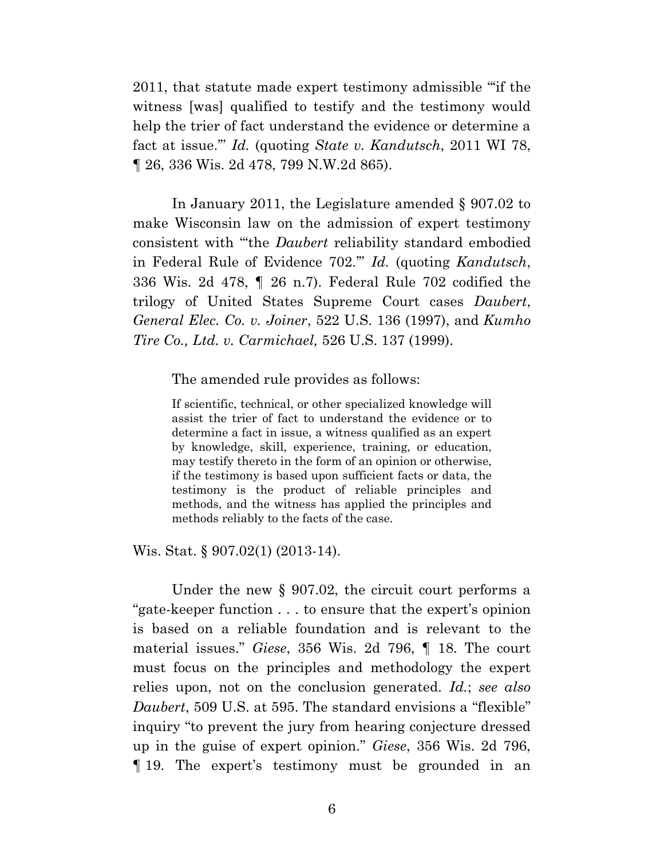2011, that statute made expert testimony admissible "'if the witness [was] qualified to testify and the testimony would help the trier of fact understand the evidence or determine a fact at issue.'" *Id.* (quoting *State v. Kandutsch*, 2011 WI 78, ¶ 26, 336 Wis. 2d 478, 799 N.W.2d 865).

In January 2011, the Legislature amended § 907.02 to make Wisconsin law on the admission of expert testimony consistent with "'the *Daubert* reliability standard embodied in Federal Rule of Evidence 702.'" *Id.* (quoting *Kandutsch*, 336 Wis. 2d 478, ¶ 26 n.7). Federal Rule 702 codified the trilogy of United States Supreme Court cases *Daubert*, *General Elec. Co. v. Joiner*, 522 U.S. 136 (1997), and *Kumho Tire Co., Ltd. v. Carmichael,* 526 U.S. 137 (1999).

The amended rule provides as follows:

If scientific, technical, or other specialized knowledge will assist the trier of fact to understand the evidence or to determine a fact in issue, a witness qualified as an expert by knowledge, skill, experience, training, or education, may testify thereto in the form of an opinion or otherwise, if the testimony is based upon sufficient facts or data, the testimony is the product of reliable principles and methods, and the witness has applied the principles and methods reliably to the facts of the case.

Wis. Stat. § 907.02(1) (2013-14).

Under the new § 907.02, the circuit court performs a "gate-keeper function . . . to ensure that the expert's opinion is based on a reliable foundation and is relevant to the material issues." *Giese*, 356 Wis. 2d 796, ¶ 18. The court must focus on the principles and methodology the expert relies upon, not on the conclusion generated. *Id.*; *see also Daubert*, 509 U.S. at 595. The standard envisions a "flexible" inquiry "to prevent the jury from hearing conjecture dressed up in the guise of expert opinion." *Giese*, 356 Wis. 2d 796, ¶ 19. The expert's testimony must be grounded in an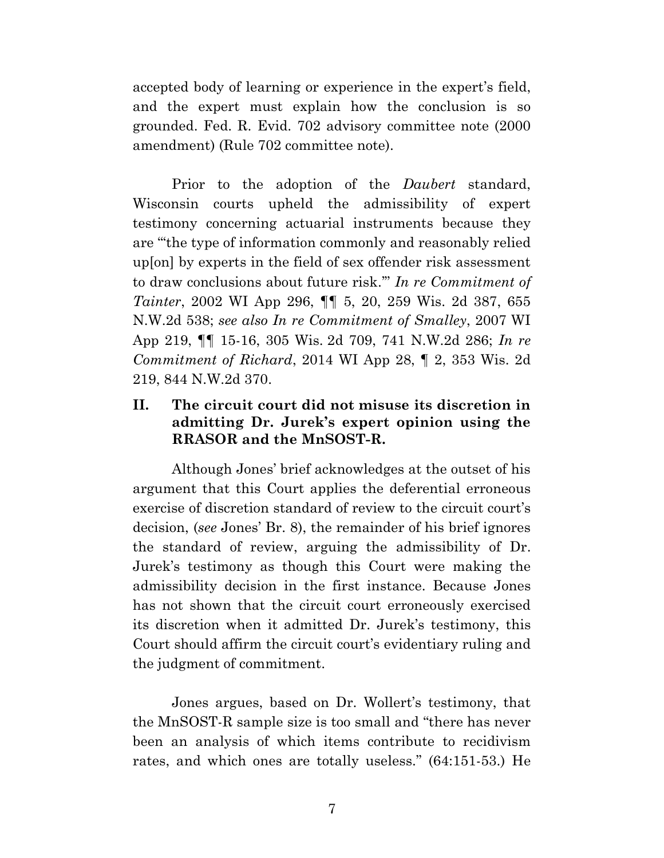accepted body of learning or experience in the expert's field, and the expert must explain how the conclusion is so grounded. Fed. R. Evid. 702 advisory committee note (2000 amendment) (Rule 702 committee note).

Prior to the adoption of the *Daubert* standard, Wisconsin courts upheld the admissibility of expert testimony concerning actuarial instruments because they are "'the type of information commonly and reasonably relied up[on] by experts in the field of sex offender risk assessment to draw conclusions about future risk.'" *In re Commitment of Tainter*, 2002 WI App 296, ¶¶ 5, 20, 259 Wis. 2d 387, 655 N.W.2d 538; *see also In re Commitment of Smalley*, 2007 WI App 219, ¶¶ 15-16, 305 Wis. 2d 709, 741 N.W.2d 286; *In re Commitment of Richard*, 2014 WI App 28, ¶ 2, 353 Wis. 2d 219, 844 N.W.2d 370.

### **II. The circuit court did not misuse its discretion in admitting Dr. Jurek's expert opinion using the RRASOR and the MnSOST-R.**

Although Jones' brief acknowledges at the outset of his argument that this Court applies the deferential erroneous exercise of discretion standard of review to the circuit court's decision, (*see* Jones' Br. 8), the remainder of his brief ignores the standard of review, arguing the admissibility of Dr. Jurek's testimony as though this Court were making the admissibility decision in the first instance. Because Jones has not shown that the circuit court erroneously exercised its discretion when it admitted Dr. Jurek's testimony, this Court should affirm the circuit court's evidentiary ruling and the judgment of commitment.

Jones argues, based on Dr. Wollert's testimony, that the MnSOST-R sample size is too small and "there has never been an analysis of which items contribute to recidivism rates, and which ones are totally useless." (64:151-53.) He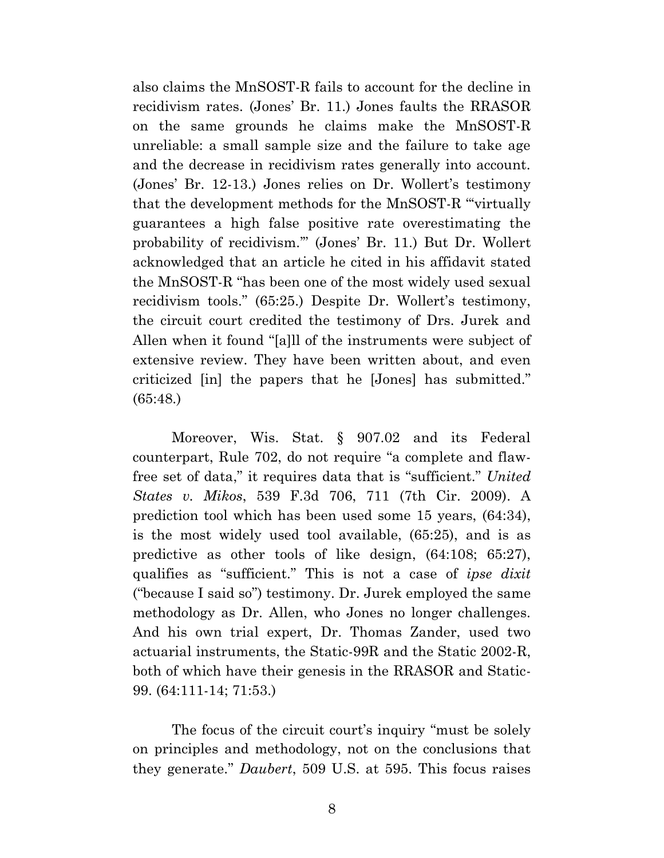also claims the MnSOST-R fails to account for the decline in recidivism rates. (Jones' Br. 11.) Jones faults the RRASOR on the same grounds he claims make the MnSOST-R unreliable: a small sample size and the failure to take age and the decrease in recidivism rates generally into account. (Jones' Br. 12-13.) Jones relies on Dr. Wollert's testimony that the development methods for the MnSOST-R "'virtually guarantees a high false positive rate overestimating the probability of recidivism.'" (Jones' Br. 11.) But Dr. Wollert acknowledged that an article he cited in his affidavit stated the MnSOST-R "has been one of the most widely used sexual recidivism tools." (65:25.) Despite Dr. Wollert's testimony, the circuit court credited the testimony of Drs. Jurek and Allen when it found "[a]ll of the instruments were subject of extensive review. They have been written about, and even criticized [in] the papers that he [Jones] has submitted." (65:48.)

Moreover, Wis. Stat. § 907.02 and its Federal counterpart, Rule 702, do not require "a complete and flawfree set of data," it requires data that is "sufficient." *United States v. Mikos*, 539 F.3d 706, 711 (7th Cir. 2009). A prediction tool which has been used some 15 years, (64:34), is the most widely used tool available, (65:25), and is as predictive as other tools of like design, (64:108; 65:27), qualifies as "sufficient." This is not a case of *ipse dixit* ("because I said so") testimony. Dr. Jurek employed the same methodology as Dr. Allen, who Jones no longer challenges. And his own trial expert, Dr. Thomas Zander, used two actuarial instruments, the Static-99R and the Static 2002-R, both of which have their genesis in the RRASOR and Static-99. (64:111-14; 71:53.)

The focus of the circuit court's inquiry "must be solely on principles and methodology, not on the conclusions that they generate." *Daubert*, 509 U.S. at 595. This focus raises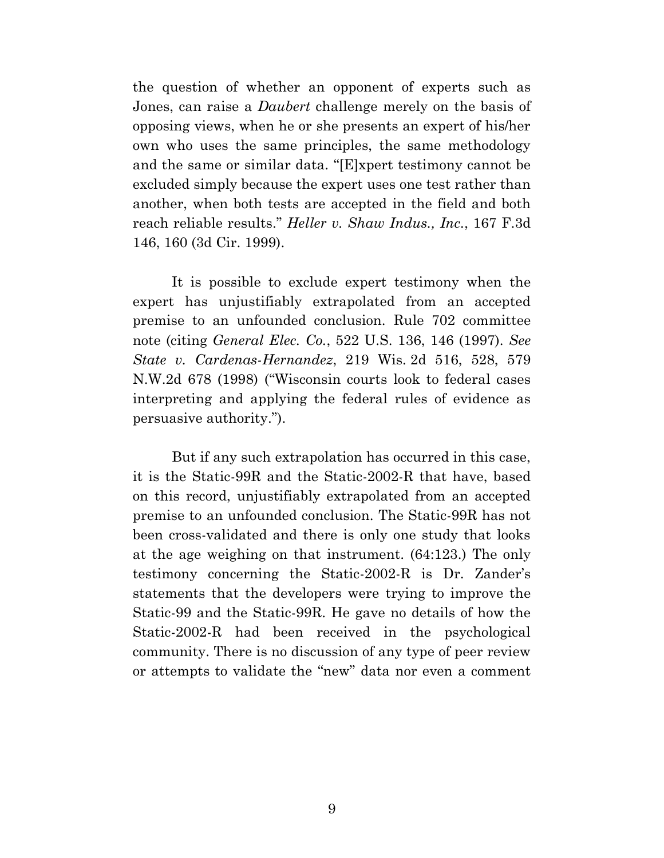the question of whether an opponent of experts such as Jones, can raise a *Daubert* challenge merely on the basis of opposing views, when he or she presents an expert of his/her own who uses the same principles, the same methodology and the same or similar data. "[E]xpert testimony cannot be excluded simply because the expert uses one test rather than another, when both tests are accepted in the field and both reach reliable results." *Heller v. Shaw Indus., Inc.*, 167 F.3d 146, 160 (3d Cir. 1999).

It is possible to exclude expert testimony when the expert has unjustifiably extrapolated from an accepted premise to an unfounded conclusion. Rule 702 committee note (citing *General Elec. Co.*, 522 U.S. 136, 146 (1997). *See State v. Cardenas-Hernandez*, 219 Wis. 2d 516, 528, 579 N.W.2d 678 (1998) ("Wisconsin courts look to federal cases interpreting and applying the federal rules of evidence as persuasive authority.").

But if any such extrapolation has occurred in this case, it is the Static-99R and the Static-2002-R that have, based on this record, unjustifiably extrapolated from an accepted premise to an unfounded conclusion. The Static-99R has not been cross-validated and there is only one study that looks at the age weighing on that instrument. (64:123.) The only testimony concerning the Static-2002-R is Dr. Zander's statements that the developers were trying to improve the Static-99 and the Static-99R. He gave no details of how the Static-2002-R had been received in the psychological community. There is no discussion of any type of peer review or attempts to validate the "new" data nor even a comment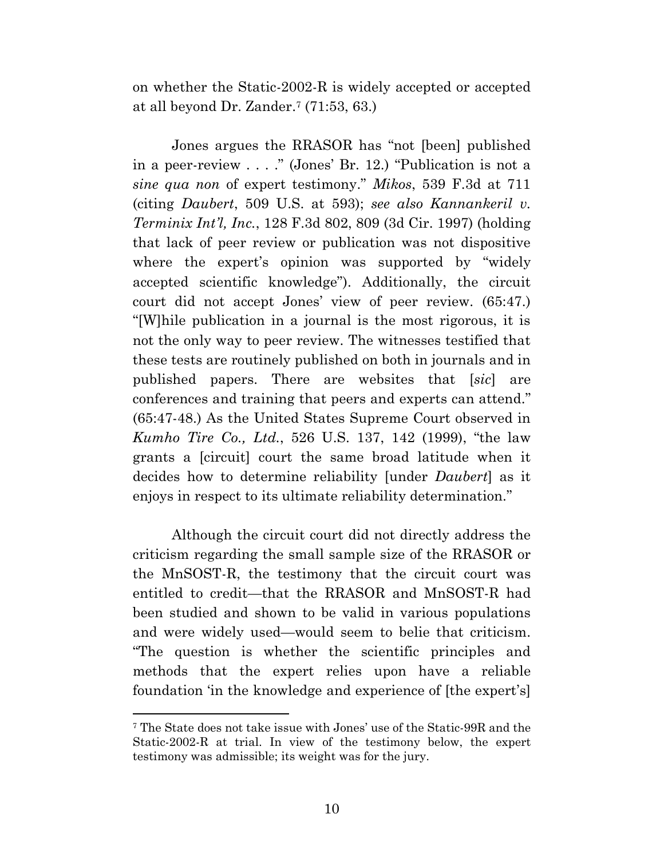on whether the Static-2002-R is widely accepted or accepted at all beyond Dr. Zander. <sup>7</sup> (71:53, 63.)

Jones argues the RRASOR has "not [been] published in a peer-review . . . ." (Jones' Br. 12.) "Publication is not a *sine qua non* of expert testimony." *Mikos*, 539 F.3d at 711 (citing *Daubert*, 509 U.S. at 593); *see also Kannankeril v. Terminix Int'l, Inc.*, 128 F.3d 802, 809 (3d Cir. 1997) (holding that lack of peer review or publication was not dispositive where the expert's opinion was supported by "widely accepted scientific knowledge"). Additionally, the circuit court did not accept Jones' view of peer review. (65:47.) "[W]hile publication in a journal is the most rigorous, it is not the only way to peer review. The witnesses testified that these tests are routinely published on both in journals and in published papers. There are websites that [*sic*] are conferences and training that peers and experts can attend." (65:47-48.) As the United States Supreme Court observed in *Kumho Tire Co., Ltd.*, 526 U.S. 137, 142 (1999), "the law grants a [circuit] court the same broad latitude when it decides how to determine reliability [under *Daubert*] as it enjoys in respect to its ultimate reliability determination."

Although the circuit court did not directly address the criticism regarding the small sample size of the RRASOR or the MnSOST-R, the testimony that the circuit court was entitled to credit—that the RRASOR and MnSOST-R had been studied and shown to be valid in various populations and were widely used—would seem to belie that criticism. "The question is whether the scientific principles and methods that the expert relies upon have a reliable foundation 'in the knowledge and experience of [the expert's]

<sup>7</sup> The State does not take issue with Jones' use of the Static-99R and the Static-2002-R at trial. In view of the testimony below, the expert testimony was admissible; its weight was for the jury.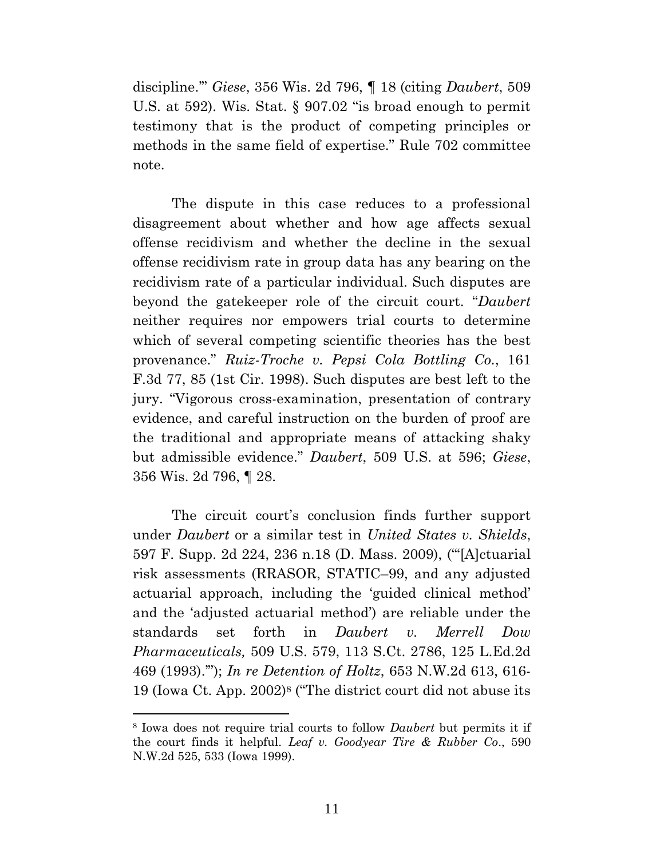discipline.'" *Giese*, 356 Wis. 2d 796, ¶ 18 (citing *Daubert*, 509 U.S. at 592). Wis. Stat. § 907.02 "is broad enough to permit testimony that is the product of competing principles or methods in the same field of expertise." Rule 702 committee note.

The dispute in this case reduces to a professional disagreement about whether and how age affects sexual offense recidivism and whether the decline in the sexual offense recidivism rate in group data has any bearing on the recidivism rate of a particular individual. Such disputes are beyond the gatekeeper role of the circuit court. "*Daubert* neither requires nor empowers trial courts to determine which of several competing scientific theories has the best provenance." *Ruiz-Troche v. Pepsi Cola Bottling Co.*, 161 F.3d 77, 85 (1st Cir. 1998). Such disputes are best left to the jury. "Vigorous cross-examination, presentation of contrary evidence, and careful instruction on the burden of proof are the traditional and appropriate means of attacking shaky but admissible evidence." *Daubert*, 509 U.S. at 596; *Giese*, 356 Wis. 2d 796, ¶ 28.

The circuit court's conclusion finds further support under *Daubert* or a similar test in *United States v. Shields*, 597 F. Supp. 2d 224, 236 n.18 (D. Mass. 2009), ("'[A]ctuarial risk assessments (RRASOR, STATIC–99, and any adjusted actuarial approach, including the 'guided clinical method' and the 'adjusted actuarial method') are reliable under the standards set forth in *Daubert v. Merrell Dow Pharmaceuticals,* 509 U.S. 579, 113 S.Ct. 2786, 125 L.Ed.2d 469 (1993).'"); *In re Detention of Holtz*, 653 N.W.2d 613, 616- 19 (Iowa Ct. App. 2002)<sup>8</sup> ("The district court did not abuse its

<sup>8</sup> Iowa does not require trial courts to follow *Daubert* but permits it if the court finds it helpful. *Leaf v. Goodyear Tire & Rubber Co*., 590 N.W.2d 525, 533 (Iowa 1999).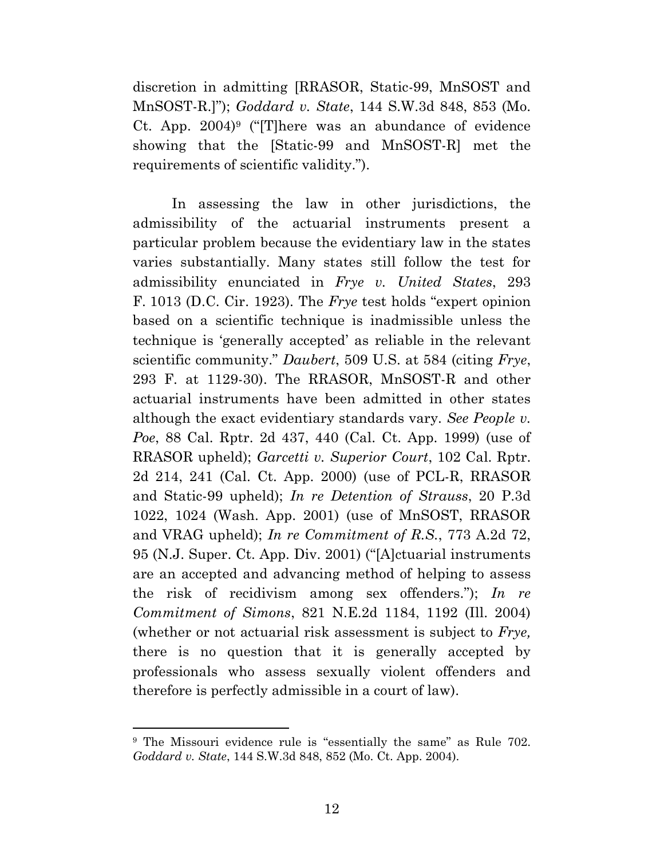discretion in admitting [RRASOR, Static-99, MnSOST and MnSOST-R.]"); *Goddard v. State*, 144 S.W.3d 848, 853 (Mo. Ct. App. 2004)<sup>9</sup> ("[T]here was an abundance of evidence showing that the [Static-99 and MnSOST-R] met the requirements of scientific validity.").

In assessing the law in other jurisdictions, the admissibility of the actuarial instruments present a particular problem because the evidentiary law in the states varies substantially. Many states still follow the test for admissibility enunciated in *Frye v. United States*, 293 F. 1013 (D.C. Cir. 1923). The *Frye* test holds "expert opinion based on a scientific technique is inadmissible unless the technique is 'generally accepted' as reliable in the relevant scientific community." *Daubert*, 509 U.S. at 584 (citing *Frye*, 293 F. at 1129-30). The RRASOR, MnSOST-R and other actuarial instruments have been admitted in other states although the exact evidentiary standards vary. *See People v. Poe*, 88 Cal. Rptr. 2d 437, 440 (Cal. Ct. App. 1999) (use of RRASOR upheld); *Garcetti v. Superior Court*, 102 Cal. Rptr. 2d 214, 241 (Cal. Ct. App. 2000) (use of PCL-R, RRASOR and Static-99 upheld); *In re Detention of Strauss*, 20 P.3d 1022, 1024 (Wash. App. 2001) (use of MnSOST, RRASOR and VRAG upheld); *In re Commitment of R.S.*, 773 A.2d 72, 95 (N.J. Super. Ct. App. Div. 2001) ("[A]ctuarial instruments are an accepted and advancing method of helping to assess the risk of recidivism among sex offenders."); *In re Commitment of Simons*, 821 N.E.2d 1184, 1192 (Ill. 2004) (whether or not actuarial risk assessment is subject to *Frye,* there is no question that it is generally accepted by professionals who assess sexually violent offenders and therefore is perfectly admissible in a court of law).

<sup>&</sup>lt;sup>9</sup> The Missouri evidence rule is "essentially the same" as Rule 702. *Goddard v. State*, 144 S.W.3d 848, 852 (Mo. Ct. App. 2004).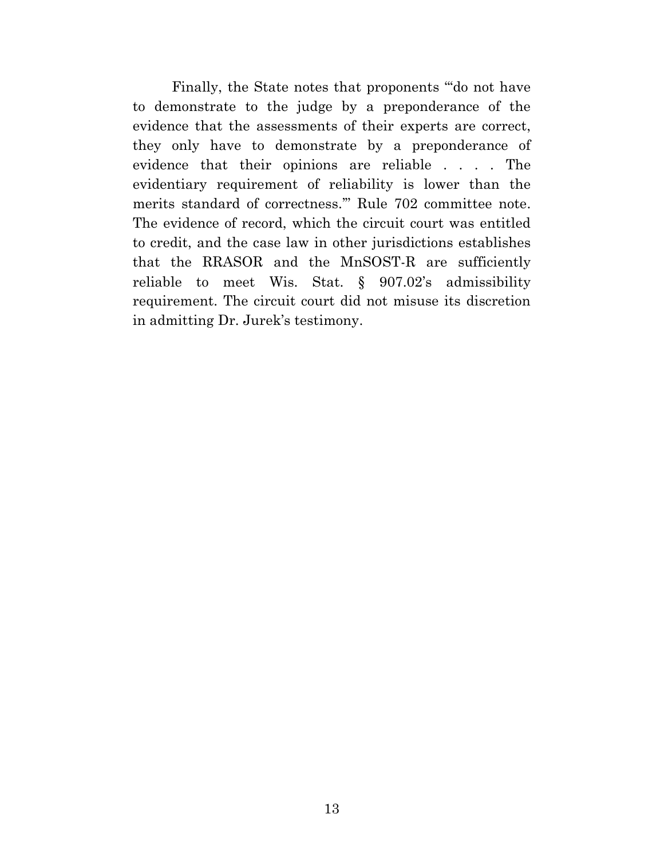Finally, the State notes that proponents "'do not have to demonstrate to the judge by a preponderance of the evidence that the assessments of their experts are correct, they only have to demonstrate by a preponderance of evidence that their opinions are reliable . . . . The evidentiary requirement of reliability is lower than the merits standard of correctness.'" Rule 702 committee note. The evidence of record, which the circuit court was entitled to credit, and the case law in other jurisdictions establishes that the RRASOR and the MnSOST-R are sufficiently reliable to meet Wis. Stat. § 907.02's admissibility requirement. The circuit court did not misuse its discretion in admitting Dr. Jurek's testimony.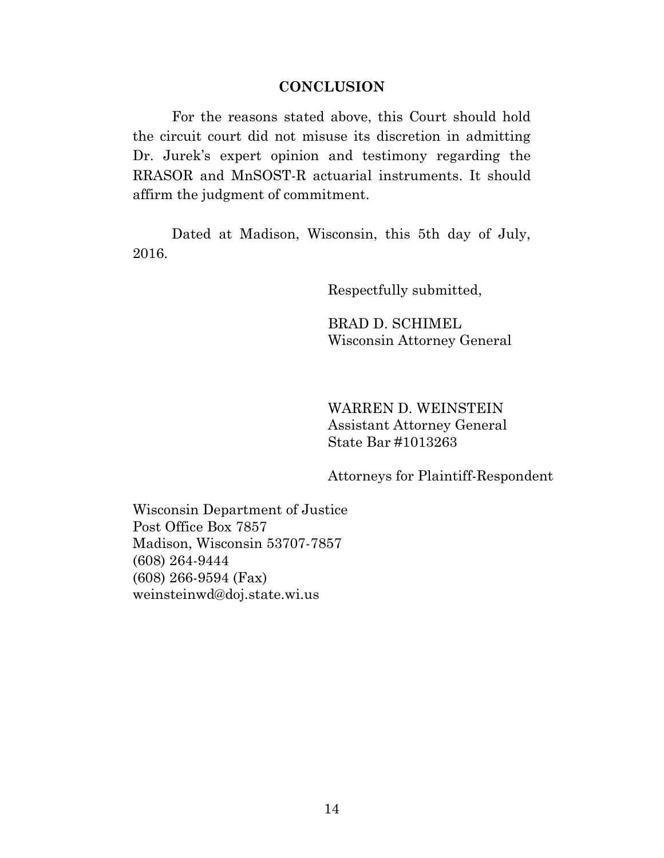#### **CONCLUSION**

For the reasons stated above, this Court should hold the circuit court did not misuse its discretion in admitting Dr. Jurek's expert opinion and testimony regarding the RRASOR and MnSOST-R actuarial instruments. It should affirm the judgment of commitment.

Dated at Madison, Wisconsin, this 5th day of July, 2016.

Respectfully submitted,

BRAD D. SCHIMEL Wisconsin Attorney General

WARREN D. WEINSTEIN Assistant Attorney General State Bar #1013263

Attorneys for Plaintiff-Respondent

Wisconsin Department of Justice Post Office Box 7857 Madison, Wisconsin 53707-7857 (608) 264-9444 (608) 266-9594 (Fax) weinsteinwd@doj.state.wi.us